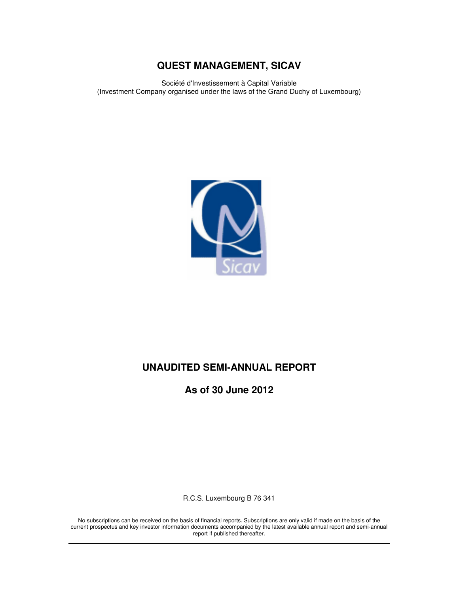Société d'Investissement à Capital Variable (Investment Company organised under the laws of the Grand Duchy of Luxembourg)



# **UNAUDITED SEMI-ANNUAL REPORT**

**As of 30 June 2012** 

R.C.S. Luxembourg B 76 341

No subscriptions can be received on the basis of financial reports. Subscriptions are only valid if made on the basis of the current prospectus and key investor information documents accompanied by the latest available annual report and semi-annual report if published thereafter.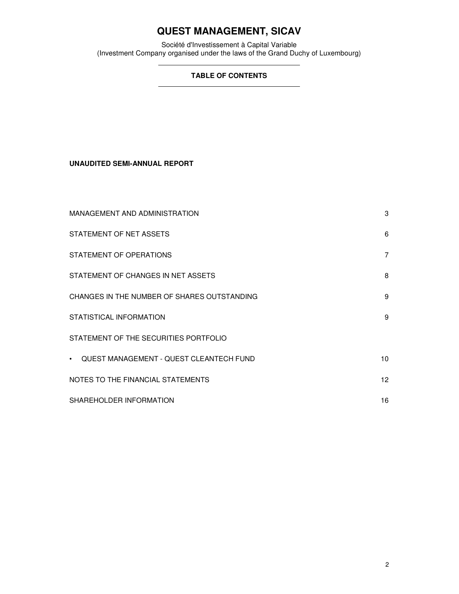Société d'Investissement à Capital Variable (Investment Company organised under the laws of the Grand Duchy of Luxembourg)

# **TABLE OF CONTENTS**

**UNAUDITED SEMI-ANNUAL REPORT** 

| MANAGEMENT AND ADMINISTRATION                               | 3                |
|-------------------------------------------------------------|------------------|
| STATEMENT OF NET ASSETS                                     | 6                |
| STATEMENT OF OPERATIONS                                     | 7                |
| STATEMENT OF CHANGES IN NET ASSETS                          | 8                |
| CHANGES IN THE NUMBER OF SHARES OUTSTANDING                 | 9                |
| STATISTICAL INFORMATION                                     | 9                |
| STATEMENT OF THE SECURITIES PORTFOLIO                       |                  |
| <b>QUEST MANAGEMENT - QUEST CLEANTECH FUND</b><br>$\bullet$ | 10               |
| NOTES TO THE FINANCIAL STATEMENTS                           | 12 <sup>12</sup> |
| SHAREHOLDER INFORMATION                                     | 16               |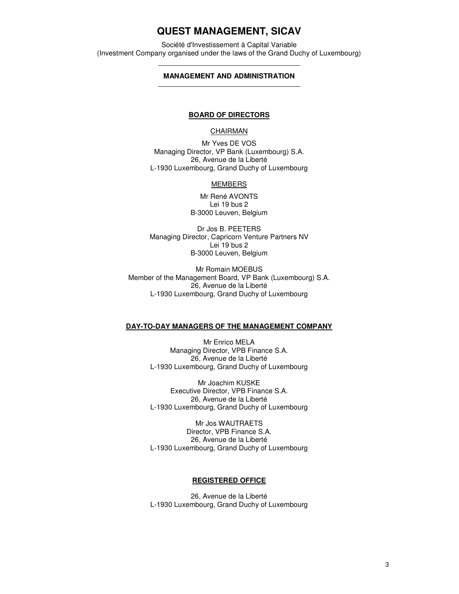Société d'Investissement à Capital Variable (Investment Company organised under the laws of the Grand Duchy of Luxembourg)

### **MANAGEMENT AND ADMINISTRATION**

#### **BOARD OF DIRECTORS**

#### **CHAIRMAN**

Mr Yves DE VOS Managing Director, VP Bank (Luxembourg) S.A. 26, Avenue de la Liberté L-1930 Luxembourg, Grand Duchy of Luxembourg

#### **MEMBERS**

Mr René AVONTS Lei 19 bus 2 B-3000 Leuven, Belgium

Dr Jos B. PEETERS Managing Director, Capricorn Venture Partners NV Lei 19 bus 2 B-3000 Leuven, Belgium

Mr Romain MOEBUS Member of the Management Board, VP Bank (Luxembourg) S.A. 26, Avenue de la Liberté L-1930 Luxembourg, Grand Duchy of Luxembourg

#### **DAY-TO-DAY MANAGERS OF THE MANAGEMENT COMPANY**

Mr Enrico MELA Managing Director, VPB Finance S.A. 26, Avenue de la Liberté L-1930 Luxembourg, Grand Duchy of Luxembourg

Mr Joachim KUSKE Executive Director, VPB Finance S.A. 26, Avenue de la Liberté L-1930 Luxembourg, Grand Duchy of Luxembourg

Mr Jos WAUTRAETS Director, VPB Finance S.A. 26, Avenue de la Liberté L-1930 Luxembourg, Grand Duchy of Luxembourg

#### **REGISTERED OFFICE**

26, Avenue de la Liberté L-1930 Luxembourg, Grand Duchy of Luxembourg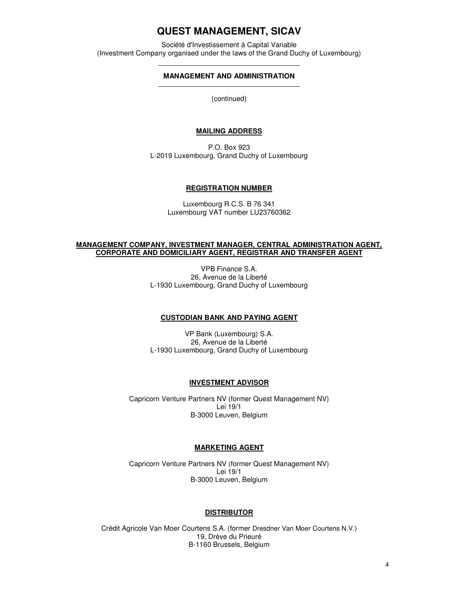Société d'Investissement à Capital Variable (Investment Company organised under the laws of the Grand Duchy of Luxembourg)

### **MANAGEMENT AND ADMINISTRATION**

(continued)

# **MAILING ADDRESS**

P.O. Box 923 L-2019 Luxembourg, Grand Duchy of Luxembourg

#### **REGISTRATION NUMBER**

Luxembourg R.C.S. B 76 341 Luxembourg VAT number LU23760362

#### **MANAGEMENT COMPANY, INVESTMENT MANAGER, CENTRAL ADMINISTRATION AGENT, CORPORATE AND DOMICILIARY AGENT, REGISTRAR AND TRANSFER AGENT**

VPB Finance S.A. 26, Avenue de la Liberté L-1930 Luxembourg, Grand Duchy of Luxembourg

### **CUSTODIAN BANK AND PAYING AGENT**

VP Bank (Luxembourg) S.A. 26, Avenue de la Liberté L-1930 Luxembourg, Grand Duchy of Luxembourg

#### **INVESTMENT ADVISOR**

Capricorn Venture Partners NV (former Quest Management NV) Lei 19/1 B-3000 Leuven, Belgium

#### **MARKETING AGENT**

Capricorn Venture Partners NV (former Quest Management NV) Lei 19/1 B-3000 Leuven, Belgium

#### **DISTRIBUTOR**

Crédit Agricole Van Moer Courtens S.A. (former Dresdner Van Moer Courtens N.V.) 19, Drève du Prieuré B-1160 Brussels, Belgium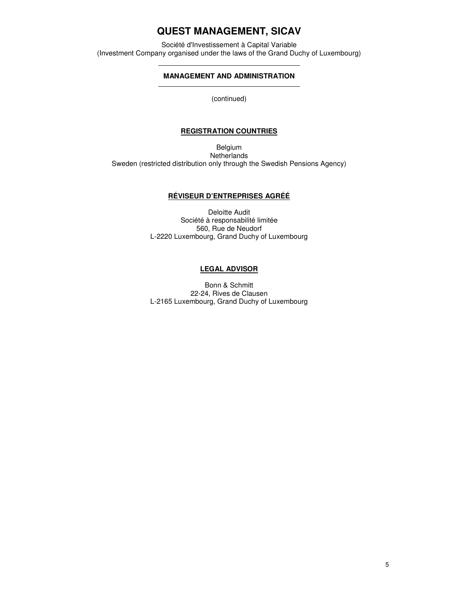Société d'Investissement à Capital Variable (Investment Company organised under the laws of the Grand Duchy of Luxembourg)

# **MANAGEMENT AND ADMINISTRATION**

(continued)

## **REGISTRATION COUNTRIES**

Belgium **Netherlands** Sweden (restricted distribution only through the Swedish Pensions Agency)

# **RÉVISEUR D'ENTREPRISES AGRÉÉ**

Deloitte Audit Société à responsabilité limitée 560, Rue de Neudorf L-2220 Luxembourg, Grand Duchy of Luxembourg

## **LEGAL ADVISOR**

Bonn & Schmitt 22-24, Rives de Clausen L-2165 Luxembourg, Grand Duchy of Luxembourg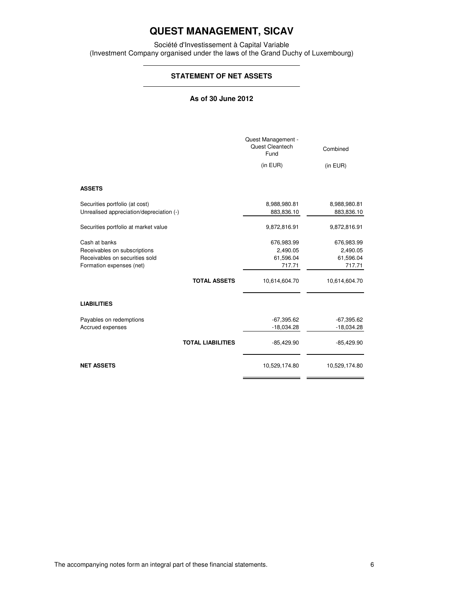Société d'Investissement à Capital Variable (Investment Company organised under the laws of the Grand Duchy of Luxembourg)

# **STATEMENT OF NET ASSETS**

## **As of 30 June 2012**

|                                                                                                             |                          | Quest Management -<br>Quest Cleantech<br>Fund | Combined                                      |
|-------------------------------------------------------------------------------------------------------------|--------------------------|-----------------------------------------------|-----------------------------------------------|
|                                                                                                             |                          | (in EUR)                                      | (in EUR)                                      |
| <b>ASSETS</b>                                                                                               |                          |                                               |                                               |
| Securities portfolio (at cost)<br>Unrealised appreciation/depreciation (-)                                  |                          | 8,988,980.81<br>883,836.10                    | 8,988,980.81<br>883,836.10                    |
| Securities portfolio at market value                                                                        |                          | 9,872,816.91                                  | 9,872,816.91                                  |
| Cash at banks<br>Receivables on subscriptions<br>Receivables on securities sold<br>Formation expenses (net) |                          | 676,983.99<br>2,490.05<br>61,596.04<br>717.71 | 676,983.99<br>2,490.05<br>61,596.04<br>717.71 |
|                                                                                                             | <b>TOTAL ASSETS</b>      | 10,614,604.70                                 | 10,614,604.70                                 |
| <b>LIABILITIES</b>                                                                                          |                          |                                               |                                               |
| Payables on redemptions<br>Accrued expenses                                                                 |                          | $-67,395.62$<br>$-18,034.28$                  | $-67,395.62$<br>$-18,034.28$                  |
|                                                                                                             | <b>TOTAL LIABILITIES</b> | $-85,429.90$                                  | $-85,429.90$                                  |
| <b>NET ASSETS</b>                                                                                           |                          | 10,529,174.80                                 | 10,529,174.80                                 |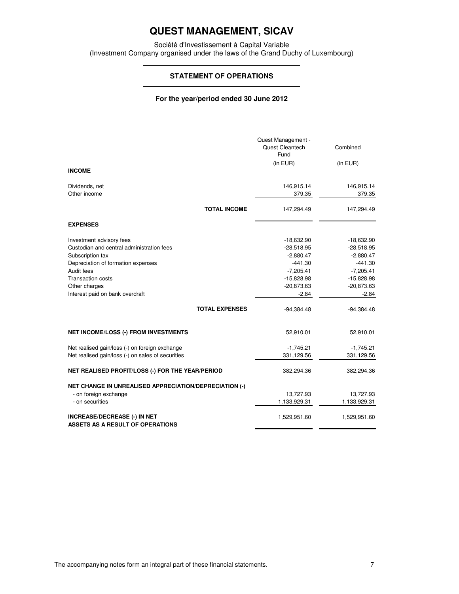Société d'Investissement à Capital Variable (Investment Company organised under the laws of the Grand Duchy of Luxembourg)

## **STATEMENT OF OPERATIONS**

### **For the year/period ended 30 June 2012**

|                                                                                                                                                                                                                                                        | Quest Management -<br>Quest Cleantech<br>Fund                                                                                      | Combined                                                                                                                           |
|--------------------------------------------------------------------------------------------------------------------------------------------------------------------------------------------------------------------------------------------------------|------------------------------------------------------------------------------------------------------------------------------------|------------------------------------------------------------------------------------------------------------------------------------|
| <b>INCOME</b>                                                                                                                                                                                                                                          | (in EUR)                                                                                                                           | (in EUR)                                                                                                                           |
| Dividends, net<br>Other income                                                                                                                                                                                                                         | 146,915.14<br>379.35                                                                                                               | 146,915.14<br>379.35                                                                                                               |
| <b>TOTAL INCOME</b>                                                                                                                                                                                                                                    | 147,294.49                                                                                                                         | 147,294.49                                                                                                                         |
| <b>EXPENSES</b>                                                                                                                                                                                                                                        |                                                                                                                                    |                                                                                                                                    |
| Investment advisory fees<br>Custodian and central administration fees<br>Subscription tax<br>Depreciation of formation expenses<br>Audit fees<br><b>Transaction costs</b><br>Other charges<br>Interest paid on bank overdraft<br><b>TOTAL EXPENSES</b> | $-18,632.90$<br>$-28,518.95$<br>$-2,880.47$<br>$-441.30$<br>$-7,205.41$<br>$-15,828.98$<br>$-20,873.63$<br>$-2.84$<br>$-94,384.48$ | $-18,632.90$<br>$-28,518.95$<br>$-2,880.47$<br>$-441.30$<br>$-7,205.41$<br>$-15,828.98$<br>$-20,873.63$<br>$-2.84$<br>$-94,384.48$ |
| <b>NET INCOME/LOSS (-) FROM INVESTMENTS</b>                                                                                                                                                                                                            | 52,910.01                                                                                                                          | 52,910.01                                                                                                                          |
| Net realised gain/loss (-) on foreign exchange<br>Net realised gain/loss (-) on sales of securities                                                                                                                                                    | $-1,745.21$<br>331,129.56                                                                                                          | $-1,745.21$<br>331,129.56                                                                                                          |
| NET REALISED PROFIT/LOSS (-) FOR THE YEAR/PERIOD                                                                                                                                                                                                       | 382,294.36                                                                                                                         | 382,294.36                                                                                                                         |
| <b>NET CHANGE IN UNREALISED APPRECIATION/DEPRECIATION (-)</b><br>- on foreign exchange<br>- on securities                                                                                                                                              | 13,727.93<br>1,133,929.31                                                                                                          | 13,727.93<br>1,133,929.31                                                                                                          |
| <b>INCREASE/DECREASE (-) IN NET</b><br>ASSETS AS A RESULT OF OPERATIONS                                                                                                                                                                                | 1,529,951.60                                                                                                                       | 1,529,951.60                                                                                                                       |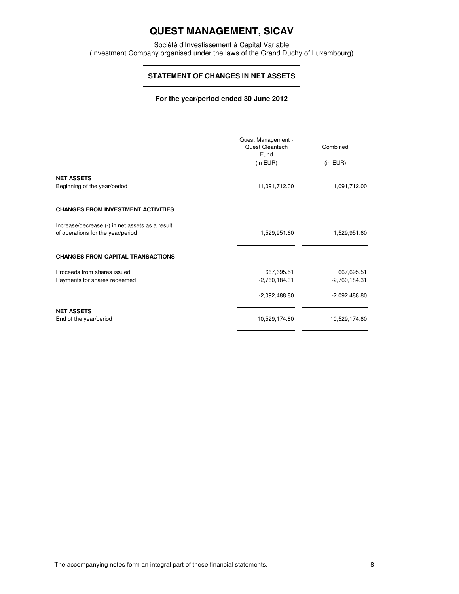Société d'Investissement à Capital Variable (Investment Company organised under the laws of the Grand Duchy of Luxembourg)

# **STATEMENT OF CHANGES IN NET ASSETS**

### **For the year/period ended 30 June 2012**

|                                                                                      | Quest Management -<br>Quest Cleantech<br>Fund<br>(in EUR) | Combined<br>(in EUR) |
|--------------------------------------------------------------------------------------|-----------------------------------------------------------|----------------------|
| <b>NET ASSETS</b>                                                                    |                                                           |                      |
| Beginning of the year/period                                                         | 11,091,712.00                                             | 11,091,712.00        |
| <b>CHANGES FROM INVESTMENT ACTIVITIES</b>                                            |                                                           |                      |
| Increase/decrease (-) in net assets as a result<br>of operations for the year/period | 1,529,951.60                                              | 1,529,951.60         |
| <b>CHANGES FROM CAPITAL TRANSACTIONS</b>                                             |                                                           |                      |
| Proceeds from shares issued                                                          | 667,695.51                                                | 667,695.51           |
| Payments for shares redeemed                                                         | $-2,760,184.31$                                           | -2,760,184.31        |
|                                                                                      | $-2,092,488.80$                                           | $-2,092,488.80$      |
| <b>NET ASSETS</b><br>End of the year/period                                          | 10,529,174.80                                             | 10,529,174.80        |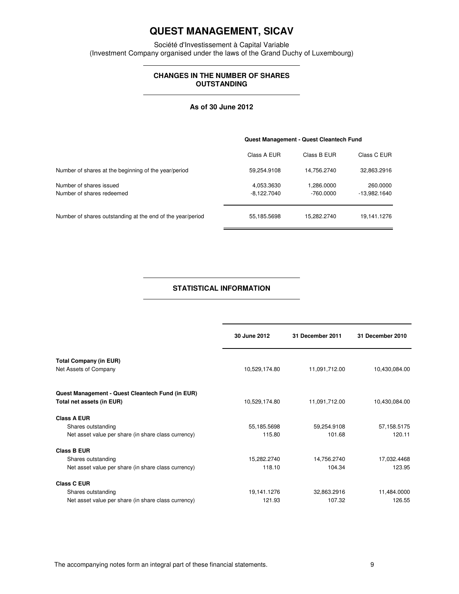Société d'Investissement à Capital Variable (Investment Company organised under the laws of the Grand Duchy of Luxembourg)

## **CHANGES IN THE NUMBER OF SHARES OUTSTANDING**

#### **As of 30 June 2012**

|                                                            | Quest Management - Quest Cleantech Fund |                           |                          |
|------------------------------------------------------------|-----------------------------------------|---------------------------|--------------------------|
|                                                            | Class A EUR                             | Class B EUR               | Class C EUR              |
| Number of shares at the beginning of the year/period       | 59,254.9108                             | 14,756.2740               | 32,863.2916              |
| Number of shares issued<br>Number of shares redeemed       | 4,053.3630<br>$-8,122.7040$             | 1,286.0000<br>$-760.0000$ | 260,0000<br>-13,982.1640 |
|                                                            |                                         |                           |                          |
| Number of shares outstanding at the end of the year/period | 55,185.5698                             | 15,282.2740               | 19,141.1276              |

### **STATISTICAL INFORMATION**

|                                                     | 30 June 2012  | 31 December 2011 | 31 December 2010 |
|-----------------------------------------------------|---------------|------------------|------------------|
| <b>Total Company (in EUR)</b>                       |               |                  |                  |
| Net Assets of Company                               | 10,529,174.80 | 11,091,712.00    | 10,430,084.00    |
| Quest Management - Quest Cleantech Fund (in EUR)    |               |                  |                  |
| Total net assets (in EUR)                           | 10,529,174.80 | 11,091,712.00    | 10,430,084.00    |
| <b>Class A EUR</b>                                  |               |                  |                  |
| Shares outstanding                                  | 55,185.5698   | 59,254.9108      | 57,158.5175      |
| Net asset value per share (in share class currency) | 115.80        | 101.68           | 120.11           |
| <b>Class B EUR</b>                                  |               |                  |                  |
| Shares outstanding                                  | 15,282.2740   | 14,756.2740      | 17,032.4468      |
| Net asset value per share (in share class currency) | 118.10        | 104.34           | 123.95           |
| <b>Class C EUR</b>                                  |               |                  |                  |
| Shares outstanding                                  | 19,141.1276   | 32,863.2916      | 11,484.0000      |
| Net asset value per share (in share class currency) | 121.93        | 107.32           | 126.55           |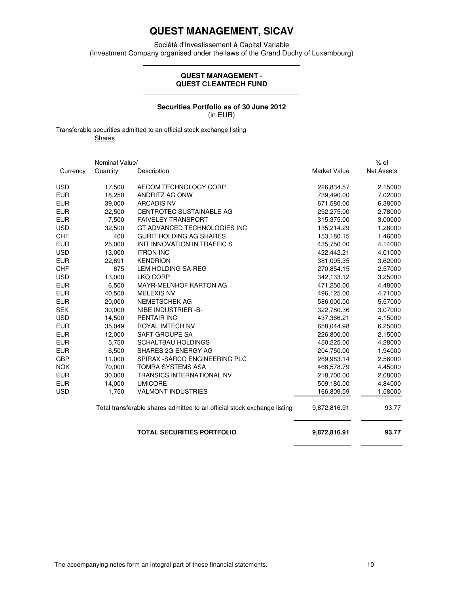Société d'Investissement à Capital Variable (Investment Company organised under the laws of the Grand Duchy of Luxembourg)

#### **QUEST MANAGEMENT - QUEST CLEANTECH FUND**

### **Securities Portfolio as of 30 June 2012**  (in EUR)

Transferable securities admitted to an official stock exchange listing

**Shares** 

|            | Nominal Value/ |                                                                          |                     | $%$ of            |
|------------|----------------|--------------------------------------------------------------------------|---------------------|-------------------|
| Currency   | Quantity       | Description                                                              | <b>Market Value</b> | <b>Net Assets</b> |
| <b>USD</b> | 17,500         | AECOM TECHNOLOGY CORP                                                    | 226,834.57          | 2.15000           |
| <b>EUR</b> | 18,250         | ANDRITZ AG ONW                                                           | 739,490.00          | 7.02000           |
| <b>EUR</b> | 39,000         | <b>ARCADIS NV</b>                                                        | 671,580.00          | 6.38000           |
| <b>EUR</b> | 22,500         | CENTROTEC SUSTAINABLE AG                                                 | 292,275.00          | 2.78000           |
| <b>EUR</b> | 7,500          | <b>FAIVELEY TRANSPORT</b>                                                | 315,375.00          | 3.00000           |
| <b>USD</b> | 32,500         | GT ADVANCED TECHNOLOGIES INC                                             | 135,214.29          | 1.28000           |
| <b>CHF</b> | 400            | <b>GURIT HOLDING AG SHARES</b>                                           | 153,180.15          | 1.46000           |
| <b>EUR</b> | 25,000         | INIT INNOVATION IN TRAFFIC S                                             | 435,750.00          | 4.14000           |
| <b>USD</b> | 13,000         | <b>ITRON INC</b>                                                         | 422,442.21          | 4.01000           |
| <b>EUR</b> | 22,691         | <b>KENDRION</b>                                                          | 381,095.35          | 3.62000           |
| <b>CHF</b> | 675            | LEM HOLDING SA-REG                                                       | 270,854.15          | 2.57000           |
| <b>USD</b> | 13,000         | LKQ CORP                                                                 | 342,133.12          | 3.25000           |
| <b>EUR</b> | 6,500          | <b>MAYR-MELNHOF KARTON AG</b>                                            | 471,250.00          | 4.48000           |
| <b>EUR</b> | 40,500         | <b>MELEXIS NV</b>                                                        | 496,125.00          | 4.71000           |
| <b>EUR</b> | 20,000         | <b>NEMETSCHEK AG</b>                                                     | 586,000.00          | 5.57000           |
| <b>SEK</b> | 30,000         | NIBE INDUSTRIER -B-                                                      | 322,780.36          | 3.07000           |
| <b>USD</b> | 14,500         | PENTAIR INC                                                              | 437,366.21          | 4.15000           |
| <b>EUR</b> | 35,049         | ROYAL IMTECH NV                                                          | 658,044.98          | 6.25000           |
| EUR        | 12,000         | SAFT GROUPE SA                                                           | 226,800.00          | 2.15000           |
| <b>EUR</b> | 5,750          | <b>SCHALTBAU HOLDINGS</b>                                                | 450,225.00          | 4.28000           |
| <b>EUR</b> | 6,500          | SHARES 2G ENERGY AG                                                      | 204,750.00          | 1.94000           |
| <b>GBP</b> | 11,000         | SPIRAX - SARCO ENGINEERING PLC                                           | 269.983.14          | 2.56000           |
| <b>NOK</b> | 70,000         | <b>TOMRA SYSTEMS ASA</b>                                                 | 468,578.79          | 4.45000           |
| <b>EUR</b> | 30,000         | TRANSICS INTERNATIONAL NV                                                | 218,700.00          | 2.08000           |
| <b>EUR</b> | 14,000         | <b>UMICORE</b>                                                           | 509,180.00          | 4.84000           |
| <b>USD</b> | 1,750          | <b>VALMONT INDUSTRIES</b>                                                | 166,809.59          | 1.58000           |
|            |                | Total transferable shares admitted to an official stock exchange listing | 9,872,816.91        | 93.77             |
|            |                | <b>TOTAL SECURITIES PORTFOLIO</b>                                        | 9,872,816.91        | 93.77             |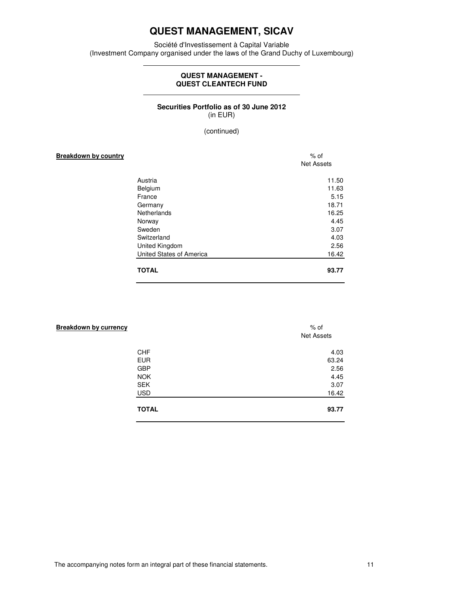Société d'Investissement à Capital Variable (Investment Company organised under the laws of the Grand Duchy of Luxembourg)

### **QUEST MANAGEMENT - QUEST CLEANTECH FUND**

### **Securities Portfolio as of 30 June 2012**  (in EUR)

(continued)

| <b>Breakdown by country</b> |                          | $%$ of<br><b>Net Assets</b> |  |
|-----------------------------|--------------------------|-----------------------------|--|
|                             | Austria                  | 11.50                       |  |
|                             | Belgium                  | 11.63                       |  |
|                             | France                   | 5.15                        |  |
|                             | Germany                  | 18.71                       |  |
|                             | Netherlands              | 16.25                       |  |
|                             | Norway                   | 4.45                        |  |
|                             | Sweden                   | 3.07                        |  |
|                             | Switzerland              | 4.03                        |  |
|                             | United Kingdom           | 2.56                        |  |
|                             | United States of America | 16.42                       |  |
|                             | <b>TOTAL</b>             | 93.77                       |  |

| $%$ of<br><b>Net Assets</b> |
|-----------------------------|
| 4.03                        |
| 63.24                       |
| 2.56                        |
| 4.45                        |
| 3.07                        |
| 16.42                       |
| 93.77                       |
|                             |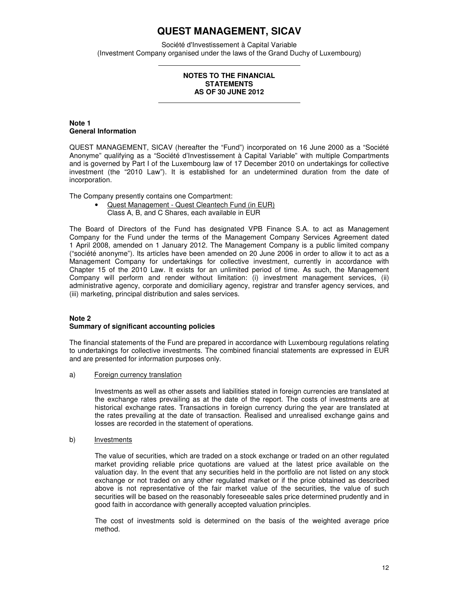Société d'Investissement à Capital Variable (Investment Company organised under the laws of the Grand Duchy of Luxembourg)

#### **NOTES TO THE FINANCIAL STATEMENTS AS OF 30 JUNE 2012**

### **Note 1 General Information**

QUEST MANAGEMENT, SICAV (hereafter the "Fund") incorporated on 16 June 2000 as a "Société Anonyme" qualifying as a "Société d'Investissement à Capital Variable" with multiple Compartments and is governed by Part I of the Luxembourg law of 17 December 2010 on undertakings for collective investment (the "2010 Law"). It is established for an undetermined duration from the date of incorporation.

The Company presently contains one Compartment:

• Quest Management - Quest Cleantech Fund (in EUR) Class A, B, and C Shares, each available in EUR

The Board of Directors of the Fund has designated VPB Finance S.A. to act as Management Company for the Fund under the terms of the Management Company Services Agreement dated 1 April 2008, amended on 1 January 2012. The Management Company is a public limited company ("société anonyme"). Its articles have been amended on 20 June 2006 in order to allow it to act as a Management Company for undertakings for collective investment, currently in accordance with Chapter 15 of the 2010 Law. It exists for an unlimited period of time. As such, the Management Company will perform and render without limitation: (i) investment management services, (ii) administrative agency, corporate and domiciliary agency, registrar and transfer agency services, and (iii) marketing, principal distribution and sales services.

#### **Note 2 Summary of significant accounting policies**

The financial statements of the Fund are prepared in accordance with Luxembourg regulations relating to undertakings for collective investments. The combined financial statements are expressed in EUR and are presented for information purposes only.

a) Foreign currency translation

Investments as well as other assets and liabilities stated in foreign currencies are translated at the exchange rates prevailing as at the date of the report. The costs of investments are at historical exchange rates. Transactions in foreign currency during the year are translated at the rates prevailing at the date of transaction. Realised and unrealised exchange gains and losses are recorded in the statement of operations.

b) Investments

The value of securities, which are traded on a stock exchange or traded on an other regulated market providing reliable price quotations are valued at the latest price available on the valuation day. In the event that any securities held in the portfolio are not listed on any stock exchange or not traded on any other regulated market or if the price obtained as described above is not representative of the fair market value of the securities, the value of such securities will be based on the reasonably foreseeable sales price determined prudently and in good faith in accordance with generally accepted valuation principles.

The cost of investments sold is determined on the basis of the weighted average price method.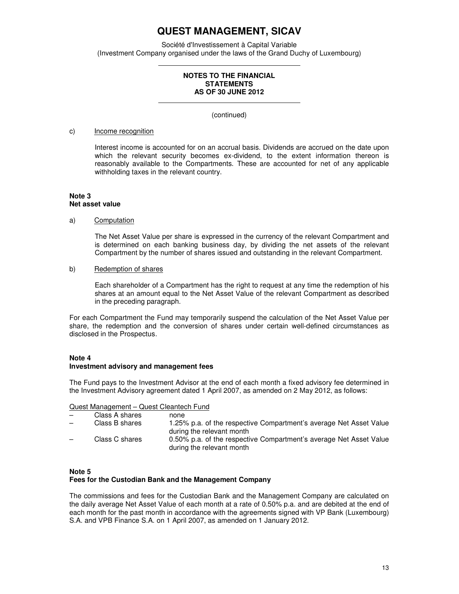Société d'Investissement à Capital Variable (Investment Company organised under the laws of the Grand Duchy of Luxembourg)

#### **NOTES TO THE FINANCIAL STATEMENTS AS OF 30 JUNE 2012**

(continued)

### c) Income recognition

Interest income is accounted for on an accrual basis. Dividends are accrued on the date upon which the relevant security becomes ex-dividend, to the extent information thereon is reasonably available to the Compartments. These are accounted for net of any applicable withholding taxes in the relevant country.

#### **Note 3 Net asset value**

#### a) Computation

The Net Asset Value per share is expressed in the currency of the relevant Compartment and is determined on each banking business day, by dividing the net assets of the relevant Compartment by the number of shares issued and outstanding in the relevant Compartment.

### b) Redemption of shares

Each shareholder of a Compartment has the right to request at any time the redemption of his shares at an amount equal to the Net Asset Value of the relevant Compartment as described in the preceding paragraph.

For each Compartment the Fund may temporarily suspend the calculation of the Net Asset Value per share, the redemption and the conversion of shares under certain well-defined circumstances as disclosed in the Prospectus.

### **Note 4**

#### **Investment advisory and management fees**

The Fund pays to the Investment Advisor at the end of each month a fixed advisory fee determined in the Investment Advisory agreement dated 1 April 2007, as amended on 2 May 2012, as follows:

#### Quest Management – Quest Cleantech Fund

|                          | Class A shares | none                                                                                            |
|--------------------------|----------------|-------------------------------------------------------------------------------------------------|
| $\overline{\phantom{m}}$ | Class B shares | 1.25% p.a. of the respective Compartment's average Net Asset Value<br>during the relevant month |
| $\overline{\phantom{0}}$ | Class C shares | 0.50% p.a. of the respective Compartment's average Net Asset Value<br>during the relevant month |

#### **Note 5**

### **Fees for the Custodian Bank and the Management Company**

The commissions and fees for the Custodian Bank and the Management Company are calculated on the daily average Net Asset Value of each month at a rate of 0.50% p.a. and are debited at the end of each month for the past month in accordance with the agreements signed with VP Bank (Luxembourg) S.A. and VPB Finance S.A. on 1 April 2007, as amended on 1 January 2012.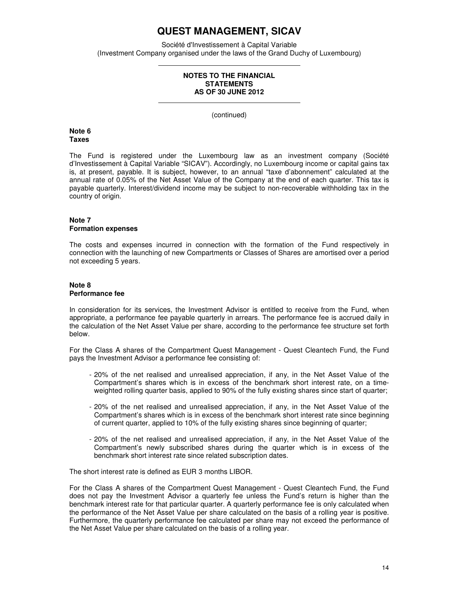Société d'Investissement à Capital Variable (Investment Company organised under the laws of the Grand Duchy of Luxembourg)

#### **NOTES TO THE FINANCIAL STATEMENTS AS OF 30 JUNE 2012**

(continued)

**Note 6 Taxes** 

The Fund is registered under the Luxembourg law as an investment company (Société d'Investissement à Capital Variable "SICAV"). Accordingly, no Luxembourg income or capital gains tax is, at present, payable. It is subject, however, to an annual "taxe d'abonnement" calculated at the annual rate of 0.05% of the Net Asset Value of the Company at the end of each quarter. This tax is payable quarterly. Interest/dividend income may be subject to non-recoverable withholding tax in the country of origin.

### **Note 7 Formation expenses**

The costs and expenses incurred in connection with the formation of the Fund respectively in connection with the launching of new Compartments or Classes of Shares are amortised over a period not exceeding 5 years.

#### **Note 8 Performance fee**

In consideration for its services, the Investment Advisor is entitled to receive from the Fund, when appropriate, a performance fee payable quarterly in arrears. The performance fee is accrued daily in the calculation of the Net Asset Value per share, according to the performance fee structure set forth below.

For the Class A shares of the Compartment Quest Management - Quest Cleantech Fund, the Fund pays the Investment Advisor a performance fee consisting of:

- 20% of the net realised and unrealised appreciation, if any, in the Net Asset Value of the Compartment's shares which is in excess of the benchmark short interest rate, on a timeweighted rolling quarter basis, applied to 90% of the fully existing shares since start of quarter;
- 20% of the net realised and unrealised appreciation, if any, in the Net Asset Value of the Compartment's shares which is in excess of the benchmark short interest rate since beginning of current quarter, applied to 10% of the fully existing shares since beginning of quarter;
- 20% of the net realised and unrealised appreciation, if any, in the Net Asset Value of the Compartment's newly subscribed shares during the quarter which is in excess of the benchmark short interest rate since related subscription dates.

The short interest rate is defined as EUR 3 months LIBOR.

For the Class A shares of the Compartment Quest Management - Quest Cleantech Fund, the Fund does not pay the Investment Advisor a quarterly fee unless the Fund's return is higher than the benchmark interest rate for that particular quarter. A quarterly performance fee is only calculated when the performance of the Net Asset Value per share calculated on the basis of a rolling year is positive. Furthermore, the quarterly performance fee calculated per share may not exceed the performance of the Net Asset Value per share calculated on the basis of a rolling year.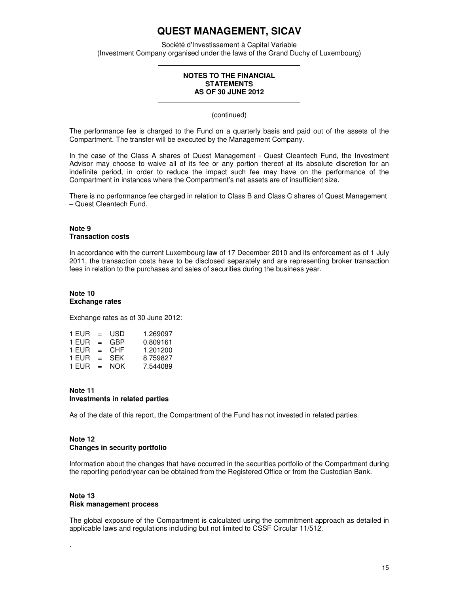Société d'Investissement à Capital Variable (Investment Company organised under the laws of the Grand Duchy of Luxembourg)

#### **NOTES TO THE FINANCIAL STATEMENTS AS OF 30 JUNE 2012**

(continued)

The performance fee is charged to the Fund on a quarterly basis and paid out of the assets of the Compartment. The transfer will be executed by the Management Company.

In the case of the Class A shares of Quest Management - Quest Cleantech Fund, the Investment Advisor may choose to waive all of its fee or any portion thereof at its absolute discretion for an indefinite period, in order to reduce the impact such fee may have on the performance of the Compartment in instances where the Compartment's net assets are of insufficient size.

There is no performance fee charged in relation to Class B and Class C shares of Quest Management – Quest Cleantech Fund.

#### **Note 9 Transaction costs**

In accordance with the current Luxembourg law of 17 December 2010 and its enforcement as of 1 July 2011, the transaction costs have to be disclosed separately and are representing broker transaction fees in relation to the purchases and sales of securities during the business year.

#### **Note 10 Exchange rates**

Exchange rates as of 30 June 2012:

| 1 FUR | $=$ | USD        | 1.269097 |
|-------|-----|------------|----------|
| 1 FUR | $=$ | GBP        | 0.809161 |
| 1 FUR | $=$ | CHF        | 1.201200 |
| 1 FUR | $=$ | <b>SFK</b> | 8.759827 |
| 1 EUR | $=$ | NOK        | 7.544089 |

#### **Note 11 Investments in related parties**

As of the date of this report, the Compartment of the Fund has not invested in related parties.

### **Note 12 Changes in security portfolio**

Information about the changes that have occurred in the securities portfolio of the Compartment during the reporting period/year can be obtained from the Registered Office or from the Custodian Bank.

## **Note 13 Risk management process**

.

The global exposure of the Compartment is calculated using the commitment approach as detailed in applicable laws and regulations including but not limited to CSSF Circular 11/512.